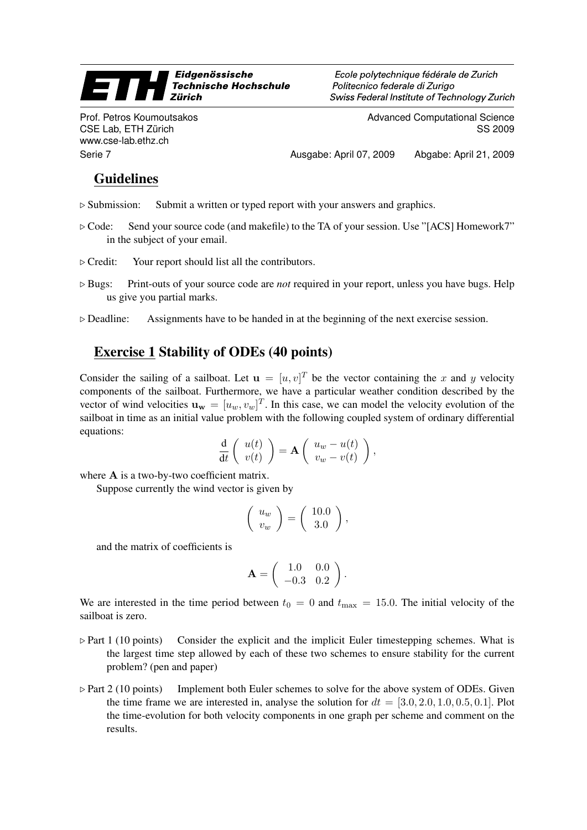## Eidgenössische  $\equiv$   $\gamma$ **Technische Hochschule Zürich**

Prof. Petros Koumoutsakos CSE Lab, ETH Zürich www.cse-lab.ethz.ch

Ecole polytechnique fédérale de Zurich Politecnico federale di Zurigo Swiss Federal Institute of Technology Zurich

> Advanced Computational Science SS 2009

Serie 7 Ausgabe: April 07, 2009 Abgabe: April 21, 2009

## Guidelines

- $\triangleright$  Submission: Submit a written or typed report with your answers and graphics.
- $\triangleright$  Code: Send your source code (and makefile) to the TA of your session. Use "[ACS] Homework7" in the subject of your email.
- $\triangleright$  Credit: Your report should list all the contributors.
- . Bugs: Print-outs of your source code are *not* required in your report, unless you have bugs. Help us give you partial marks.
- $\triangleright$  Deadline: Assignments have to be handed in at the beginning of the next exercise session.

## Exercise 1 Stability of ODEs (40 points)

Consider the sailing of a sailboat. Let  $\mathbf{u} = [u, v]^T$  be the vector containing the x and y velocity components of the sailboat. Furthermore, we have a particular weather condition described by the vector of wind velocities  $\mathbf{u}_{\mathbf{w}} = [u_w, v_w]^T$ . In this case, we can model the velocity evolution of the sailboat in time as an initial value problem with the following coupled system of ordinary differential equations:

$$
\frac{\mathrm{d}}{\mathrm{d}t}\left(\begin{array}{c}u(t)\\v(t)\end{array}\right)=\mathbf{A}\left(\begin{array}{c}u_w-u(t)\\v_w-v(t)\end{array}\right),\,
$$

where A is a two-by-two coefficient matrix.

Suppose currently the wind vector is given by

$$
\left(\begin{array}{c} u_w \\ v_w \end{array}\right) = \left(\begin{array}{c} 10.0 \\ 3.0 \end{array}\right),
$$

and the matrix of coefficients is

$$
\mathbf{A} = \left( \begin{array}{cc} 1.0 & 0.0 \\ -0.3 & 0.2 \end{array} \right).
$$

We are interested in the time period between  $t_0 = 0$  and  $t_{\text{max}} = 15.0$ . The initial velocity of the sailboat is zero.

- $\triangleright$  Part 1 (10 points) Consider the explicit and the implicit Euler timestepping schemes. What is the largest time step allowed by each of these two schemes to ensure stability for the current problem? (pen and paper)
- $\triangleright$  Part 2 (10 points) Implement both Euler schemes to solve for the above system of ODEs. Given the time frame we are interested in, analyse the solution for  $dt = [3.0, 2.0, 1.0, 0.5, 0.1]$ . Plot the time-evolution for both velocity components in one graph per scheme and comment on the results.